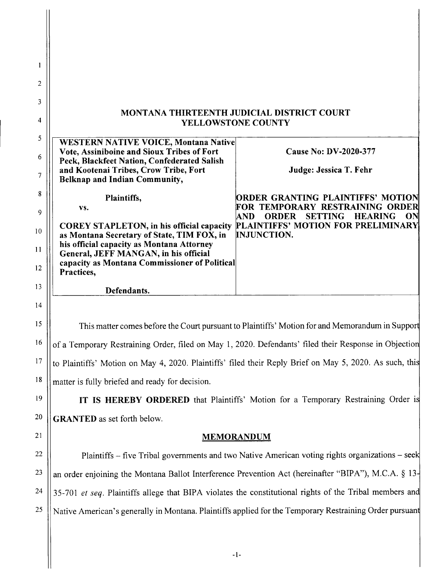| 1        |                                                                                                                                                   |                                                                                                         |
|----------|---------------------------------------------------------------------------------------------------------------------------------------------------|---------------------------------------------------------------------------------------------------------|
| 2        |                                                                                                                                                   |                                                                                                         |
| 3        | MONTANA THIRTEENTH JUDICIAL DISTRICT COURT                                                                                                        |                                                                                                         |
| 4        | <b>YELLOWSTONE COUNTY</b>                                                                                                                         |                                                                                                         |
| 5<br>6   | <b>WESTERN NATIVE VOICE, Montana Native</b><br>Vote, Assiniboine and Sioux Tribes of Fort                                                         | Cause No: DV-2020-377                                                                                   |
| 7        | Peck, Blackfeet Nation, Confederated Salish<br>and Kootenai Tribes, Crow Tribe, Fort<br><b>Belknap and Indian Community,</b>                      | Judge: Jessica T. Fehr                                                                                  |
| 8        | Plaintiffs,                                                                                                                                       | ORDER GRANTING PLAINTIFFS' MOTION                                                                       |
| 9        | VS.                                                                                                                                               | FOR TEMPORARY RESTRAINING ORDER<br><b>SETTING</b><br><b>ORDER</b><br><b>HEARING</b><br>ON<br><b>AND</b> |
| 10       | <b>COREY STAPLETON, in his official capacity</b><br>as Montana Secretary of State, TIM FOX, in                                                    | PLAINTIFFS' MOTION FOR PRELIMINARY<br><b>INJUNCTION.</b>                                                |
| 11<br>12 | his official capacity as Montana Attorney<br>General, JEFF MANGAN, in his official<br>capacity as Montana Commissioner of Political<br>Practices, |                                                                                                         |
| 13       | Defendants.                                                                                                                                       |                                                                                                         |
| 14       |                                                                                                                                                   |                                                                                                         |
| 15       | This matter comes before the Court pursuant to Plaintiffs' Motion for and Memorandum in Support                                                   |                                                                                                         |
| 16       | of a Temporary Restraining Order, filed on May 1, 2020. Defendants' filed their Response in Objection                                             |                                                                                                         |
| 17       | to Plaintiffs' Motion on May 4, 2020. Plaintiffs' filed their Reply Brief on May 5, 2020. As such, this                                           |                                                                                                         |
| 18       | matter is fully briefed and ready for decision.                                                                                                   |                                                                                                         |
| 19       | IT IS HEREBY ORDERED that Plaintiffs' Motion for a Temporary Restraining Order is                                                                 |                                                                                                         |
| 20       | <b>GRANTED</b> as set forth below.                                                                                                                |                                                                                                         |
| 21       | <b>MEMORANDUM</b>                                                                                                                                 |                                                                                                         |
| 22       | Plaintiffs - five Tribal governments and two Native American voting rights organizations - seek                                                   |                                                                                                         |
| 23       | an order enjoining the Montana Ballot Interference Prevention Act (hereinafter "BIPA"), M.C.A. § 13-                                              |                                                                                                         |
|          | 35-701 et seq. Plaintiffs allege that BIPA violates the constitutional rights of the Tribal members and                                           |                                                                                                         |

25 Native American's generally in Montana. Plaintiffs applied for the Temporary Restraining Order pursuant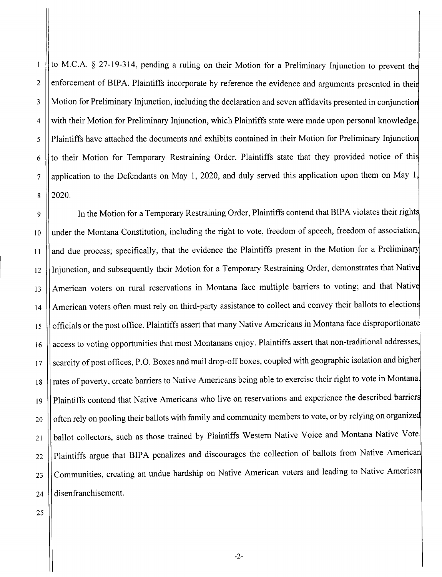2 7 to M.C.A. § 27-19-314, pending a ruling on their Motion for a Preliminary Injunction to prevent th enforcement of BIPA. Plaintiffs incorporate by reference the evidence and arguments presented in thei Motion for Preliminary Injunction, including the declaration and seven affidavits presented in conjunctio with their Motion for Preliminary Injunction, which Plaintiffs state were made upon personal knowledge. Plaintiffs have attached the documents and exhibits contained in their Motion for Preliminary Injunctio to their Motion for Temporary Restraining Order. Plaintiffs state that they provided notice of thi application to the Defendants on May 1, 2020, and duly served this application upon them on May 1, 2020. 3 4 5 6 8

9 | In the Motion for a Temporary Restraining Order, Plaintiffs contend that BIPA violates their rights under the Montana Constitution, including the right to vote, freedom of speech, freedom of association and due process; specifically, that the evidence the Plaintiffs present in the Motion for a Preliminary Injunction, and subsequently their Motion for a Temporary Restraining Order, demonstrates that Nativ American voters on rural reservations in Montana face multiple barriers to voting; and that Native American voters often must rely on third-party assistance to collect and convey their ballots to election officials or the post office. Plaintiffs assert that many Native Americans in Montana face disproportionat access to voting opportunities that most Montanans enjoy. Plaintiffs assert that non-traditional addresses scarcity of post offices, P.O. Boxes and mail drop-off boxes, coupled with geographic isolation and higher rates of poverty, create barriers to Native Americans being able to exercise their right to vote in Montana. Plaintiffs contend that Native Americans who live on reservations and experience the described barrier often rely on pooling their ballots with family and community members to vote, or by relying on organize ballot collectors, such as those trained by Plaintiffs Western Native Voice and Montana Native Vote. Plaintiffs argue that BIPA penalizes and discourages the collection of ballots from Native America Communities, creating an undue hardship on Native American voters and leading to Native America disenfranchisement. 10 11 12 13 14 15 16 17 18 19 20 21 22 23 24

25

 $\mathbf{I}$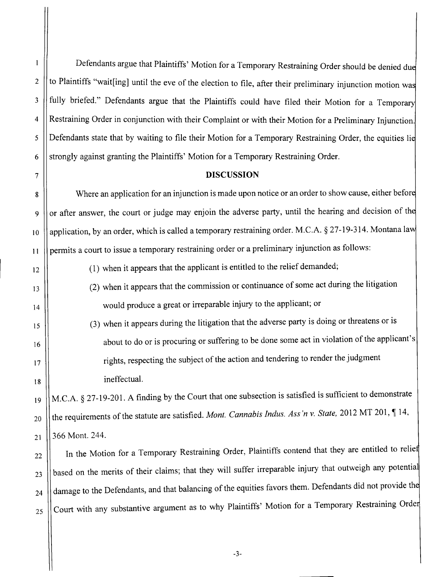2

 $\mathbf{1}$ 

3

4

5

Defendants argue that Plaintiffs' Motion for a Temporary Restraining Order should be denied du to Plaintiffs "wait[ing] until the eve of the election to file, after their preliminary injunction motion wa fully briefed." Defendants argue that the Plaintiffs could have filed their Motion for a Temporary Restraining Order in conjunction with their Complaint or with their Motion for a Preliminary Injunction. Defendants state that by waiting to file their Motion for a Temporary Restraining Order, the equities li strongly against granting the Plaintiffs' Motion for a Temporary Restraining Order.

## 7 **DISCUSSION**

8 | Where an application for an injunction is made upon notice or an order to show cause, either before 9 || or after answer, the court or judge may enjoin the adverse party, until the hearing and decision of the 10 | application, by an order, which is called a temporary restraining order. M.C.A. § 27-19-314. Montana law 11 | permits a court to issue a temporary restraining order or a preliminary injunction as follows:

- 12 (1) when it appears that the applicant is entitled to the relief demanded;
- 13 (2) when it appears that the commission or continuance of some act during the litigation 14 || would produce a great or irreparable injury to the applicant; or
- 15 (3) when it appears during the litigation that the adverse party is doing or threatens or is 16 || about to do or is procuring or suffering to be done some act in violation of the applicant's 17 || rights, respecting the subject of the action and tendering to render the judgment 18 | ineffectual.

19 || M.C.A. § 27-19-201. A finding by the Court that one subsection is satisfied is sufficient to demonstrate  $t_{120}$  || the requirements of the statute are satisfied. *Mont. Cannabis Indus. Ass'n v. State,* 2012 MT 201,  $\P$  14,  $_{21}$  | 366 Mont. 244.

 $22$  || In the Motion for a Temporary Restraining Order, Plaintiffs contend that they are entitled to relief  $\frac{1}{23}$  || based on the merits of their claims; that they will suffer irreparable injury that outweigh any potential  $_{24}$   $\parallel$  damage to the Defendants, and that balancing of the equities favors them. Defendants did not provide the  $_{25}$  Court with any substantive argument as to why Plaintiffs' Motion for a Temporary Restraining Order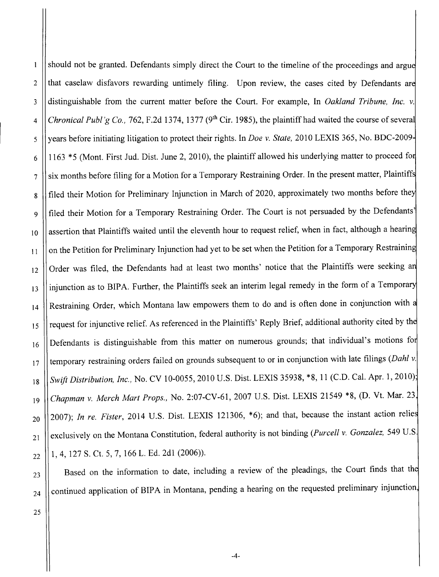should not be granted. Defendants simply direct the Court to the timeline of the proceedings and argue  $\mathbf{l}$ 2  $\parallel$  that caselaw disfavors rewarding untimely filing. Upon review, the cases cited by Defendants are 3 distinguishable from the current matter before the Court. For example, In *Oakland Tribune, Inc.* v.  $4 \vert$  *Chronical Publ'g Co.,* 762, F.2d 1374, 1377 (9<sup>th</sup> Cir. 1985), the plaintiff had waited the course of several 5 years before initiating litigation to protect their rights. In *Doe* v. *State,* 2010 LEXIS 365, No. BDC-2009  $6$  || 1163 \*5 (Mont. First Jud. Dist. June 2, 2010), the plaintiff allowed his underlying matter to proceed for  $7$   $\parallel$  six months before filing for a Motion for a Temporary Restraining Order. In the present matter, Plaintiffs 8 || filed their Motion for Preliminary Injunction in March of 2020, approximately two months before they 9 || filed their Motion for a Temporary Restraining Order. The Court is not persuaded by the Defendants' 10 || assertion that Plaintiffs waited until the eleventh hour to request relief, when in fact, although a hearing  $\frac{11}{11}$  | on the Petition for Preliminary Injunction had yet to be set when the Petition for a Temporary Restraining 12 | Order was filed, the Defendants had at least two months' notice that the Plaintiffs were seeking an 13 | injunction as to BIPA. Further, the Plaintiffs seek an interim legal remedy in the form of a Temporary  $_{14}$  | Restraining Order, which Montana law empowers them to do and is often done in conjunction with a 15 || request for injunctive relief. As referenced in the Plaintiffs' Reply Brief, additional authority cited by the  $_{16}$  | Defendants is distinguishable from this matter on numerous grounds; that individual's motions for 17 || temporary restraining orders failed on grounds subsequent to or in conjunction with late filings *(Dahl v*. 18 *Swift Distribution, Inc.,* No. CV 10-0055,2010 U.S. Dist. LEXIS 35938, \*8, 11 (C.D. Cal. Apr. 1,2010)' *<sup>19</sup> Chapman* v. *Merch Mart Props.,* No. 2:07-CV-61, 2007 U.S. Dist. LEXIS 21549 \*8, (D. Vt. Mar. 23  $_{20}$   $||$  2007); *In re. Fister*, 2014 U.S. Dist. LEXIS 121306,  $*$ 6); and that, because the instant action relies 21 | exclusively on the Montana Constitution, federal authority is not binding *(Purcell v. Gonzalez, 549 U.S.*  $_{22}$  || 1, 4, 127 S. Ct. 5, 7, 166 L. Ed. 2d1 (2006)).

 $23$  | Based on the information to date, including a review of the pleadings, the Court finds that the  $_{24}$  | continued application of BIPA in Montana, pending a hearing on the requested preliminary injunction,

25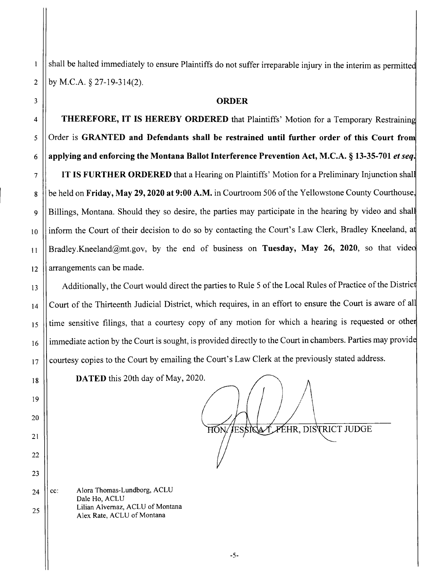shall be halted immediately to ensure Plaintiffs do not suffer irreparable injury in the interim as permitted 2  $\vert$  by M.C.A. § 27-19-314(2).

## 3 **ORDER**

4 **THEREFORE, IT IS HEREBY ORDERED** that Plaintiffs' Motion for a Temporary Restraining 5 Order is **GRANTED and Defendants shall be restrained until further order of this Court fro** 6 **applying and enforcing the Montana Ballot Interference Prevention Act, M.C.A. § 13-35-701** *et seq.*

 **IT IS FURTHER ORDERED** that a Hearing on Plaintiffs' Motion for a Preliminary Injunction shal be held on **Friday, May 29, 2020 at 9:00 A.M.** in Courtroom 506 of the Yellowstone County Courthouse 9 || Billings, Montana. Should they so desire, the parties may participate in the hearing by video and shall 10 I inform the Court of their decision to do so by contacting the Court's Law Clerk, Bradley Kneeland, at Bradley.Kneeland@mt.gov, by the end of business on **Tuesday, May 26, 2020,** so that vide || arrangements can be made.

13 | Additionally, the Court would direct the parties to Rule 5 of the Local Rules of Practice of the District 14 || Court of the Thirteenth Judicial District, which requires, in an effort to ensure the Court is aware of all 15 || time sensitive filings, that a courtesy copy of any motion for which a hearing is requested or other 16 | immediate action by the Court is sought, is provided directly to the Court in chambers. Parties may provide 17 || courtesy copies to the Court by emailing the Court's Law Clerk at the previously stated address.

18 **DATED** this 20th day of May, 2020.

HON/JESSIGA LÆHR, DISTRICT JUDGE

25 Alora Thomas-Lundborg, ACLU Dale Ho, ACLU Lilian Alvemaz, ACLU of Montana Alex Rate, ACLU of Montana 24  $\vert \vert$  cc:

19

 $\mathbf{1}$ 

20

21

22

23